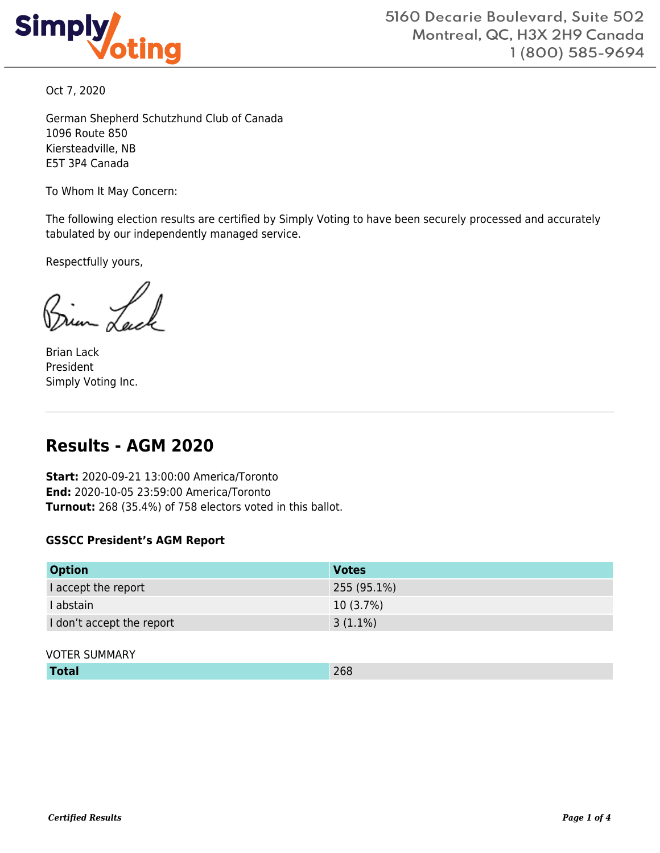

Oct 7, 2020

German Shepherd Schutzhund Club of Canada 1096 Route 850 Kiersteadville, NB E5T 3P4 Canada

To Whom It May Concern:

The following election results are certified by Simply Voting to have been securely processed and accurately tabulated by our independently managed service.

Respectfully yours,

Brian Lack President Simply Voting Inc.

# **Results - AGM 2020**

**Start:** 2020-09-21 13:00:00 America/Toronto **End:** 2020-10-05 23:59:00 America/Toronto **Turnout:** 268 (35.4%) of 758 electors voted in this ballot.

#### **GSSCC President's AGM Report**

| <b>Option</b>             | <b>Votes</b> |
|---------------------------|--------------|
| I accept the report       | 255 (95.1%)  |
| I abstain                 | $10(3.7\%)$  |
| I don't accept the report | $3(1.1\%)$   |

#### VOTER SUMMARY

| 268<br>Total |
|--------------|
|--------------|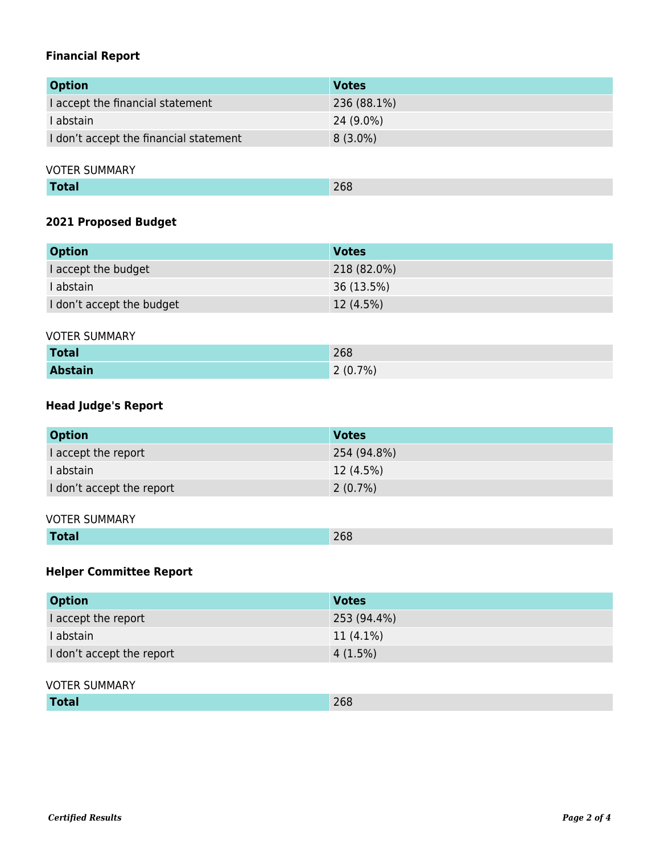### **Financial Report**

| <b>Option</b>                          | <b>Votes</b> |
|----------------------------------------|--------------|
| I accept the financial statement       | 236 (88.1%)  |
| l abstain                              | $24(9.0\%)$  |
| I don't accept the financial statement | $8(3.0\%)$   |

VOTER SUMMARY

### **2021 Proposed Budget**

| <b>Option</b>             | <b>Votes</b> |
|---------------------------|--------------|
| I accept the budget       | 218 (82.0%)  |
| I abstain                 | 36 (13.5%)   |
| I don't accept the budget | 12 (4.5%)    |

#### VOTER SUMMARY

| <b>Total</b>   | 268     |
|----------------|---------|
| <b>Abstain</b> | 2(0.7%) |

### **Head Judge's Report**

| <b>Option</b>             | <b>Votes</b> |
|---------------------------|--------------|
| I accept the report       | 254 (94.8%)  |
| I abstain                 | $12(4.5\%)$  |
| I don't accept the report | $2(0.7\%)$   |

#### VOTER SUMMARY

| 268<br><b>Total</b> |
|---------------------|
|---------------------|

### **Helper Committee Report**

| <b>Option</b>             | <b>Votes</b> |
|---------------------------|--------------|
| I accept the report       | 253 (94.4%)  |
| I abstain                 | $11(4.1\%)$  |
| I don't accept the report | 4(1.5%)      |

#### VOTER SUMMARY

| <b>Total</b> | 268 |
|--------------|-----|
|--------------|-----|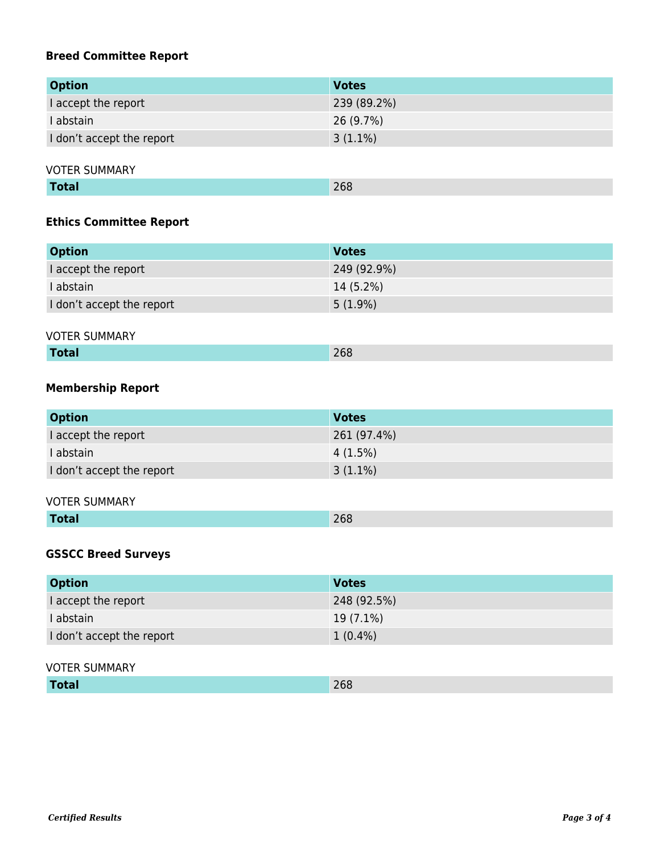### **Breed Committee Report**

| <b>Option</b>             | <b>Votes</b> |
|---------------------------|--------------|
| I accept the report       | 239 (89.2%)  |
| I abstain                 | 26 (9.7%)    |
| I don't accept the report | $3(1.1\%)$   |

VOTER SUMMARY

| <b>Total</b><br>268 |
|---------------------|
|---------------------|

### **Ethics Committee Report**

| <b>Option</b>             | <b>Votes</b> |
|---------------------------|--------------|
| I accept the report       | 249 (92.9%)  |
| I abstain                 | $14(5.2\%)$  |
| I don't accept the report | $5(1.9\%)$   |

#### VOTER SUMMARY

| ____ | 76.<br>$- - -$ |
|------|----------------|
|      |                |

### **Membership Report**

| <b>Option</b>             | <b>Votes</b> |
|---------------------------|--------------|
| I accept the report       | 261 (97.4%)  |
| I abstain                 | 4(1.5%)      |
| I don't accept the report | $3(1.1\%)$   |

#### VOTER SUMMARY

|  | the company's company's company's<br><u>Lotal</u> | $\Box$<br>ZOO |
|--|---------------------------------------------------|---------------|
|--|---------------------------------------------------|---------------|

### **GSSCC Breed Surveys**

| <b>Option</b>             | <b>Votes</b> |
|---------------------------|--------------|
| I accept the report       | 248 (92.5%)  |
| I abstain                 | $19(7.1\%)$  |
| I don't accept the report | $1(0.4\%)$   |

#### VOTER SUMMARY

| <b>Total</b> | 268 |
|--------------|-----|
|--------------|-----|